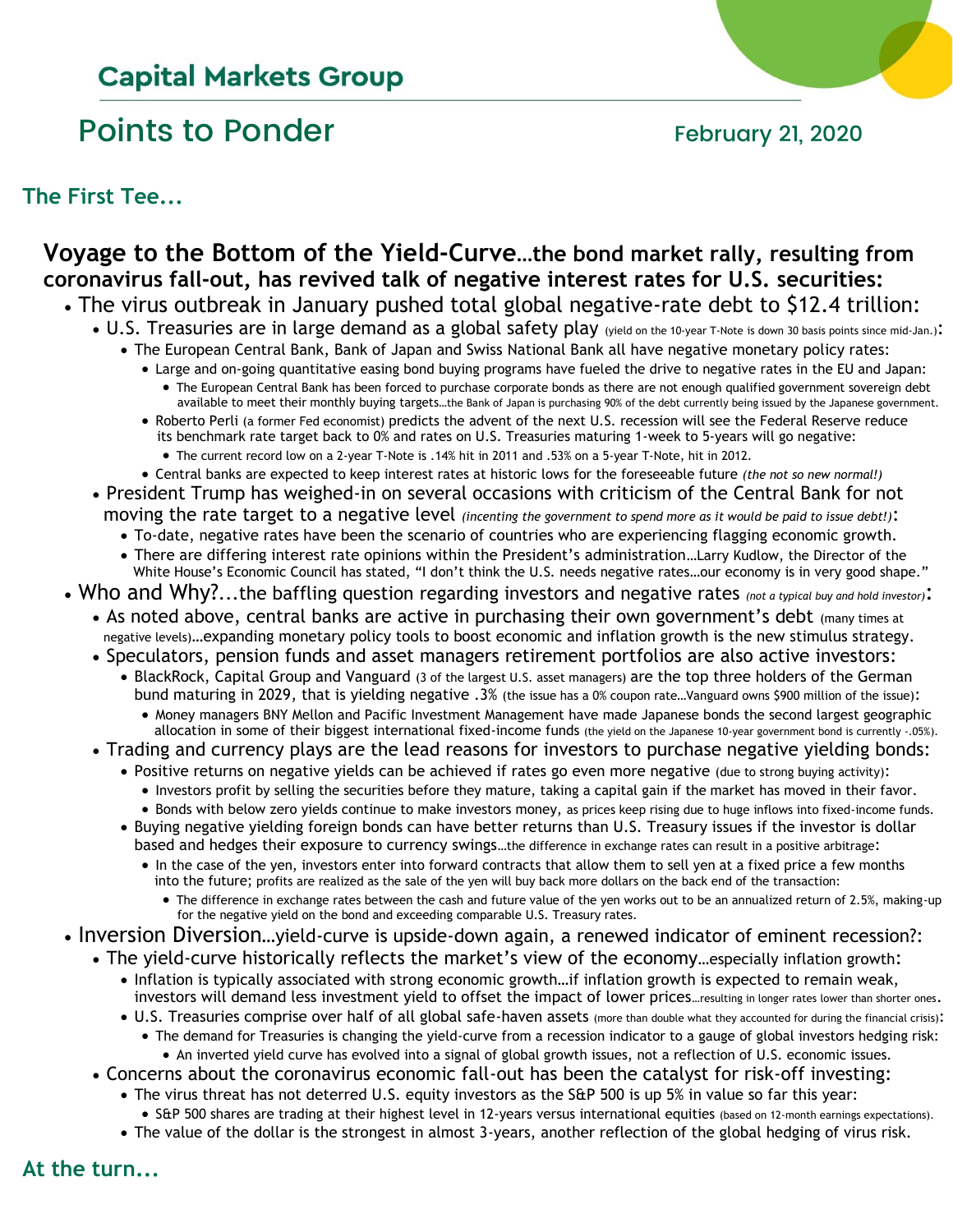# **Capital Markets Group**

## Points to Ponder February 21, 2020

**The First Tee...**

## **Voyage to the Bottom of the Yield-Curve…the bond market rally, resulting from coronavirus fall-out, has revived talk of negative interest rates for U.S. securities:**

- The virus outbreak in January pushed total global negative-rate debt to \$12.4 trillion:
	- U.S. Treasuries are in large demand as a global safety play (yield on the 10-year T-Note is down 30 basis points since mid-Jan.): • The European Central Bank, Bank of Japan and Swiss National Bank all have negative monetary policy rates:
		- Large and on-going quantitative easing bond buying programs have fueled the drive to negative rates in the EU and Japan:
			- The European Central Bank has been forced to purchase corporate bonds as there are not enough qualified government sovereign debt available to meet their monthly buying targets…the Bank of Japan is purchasing 90% of the debt currently being issued by the Japanese government.
		- Roberto Perli (a former Fed economist) predicts the advent of the next U.S. recession will see the Federal Reserve reduce its benchmark rate target back to 0% and rates on U.S. Treasuries maturing 1-week to 5-years will go negative:
			- The current record low on a 2-year T-Note is .14% hit in 2011 and .53% on a 5-year T-Note, hit in 2012.
		- Central banks are expected to keep interest rates at historic lows for the foreseeable future *(the not so new normal!)*
	- President Trump has weighed-in on several occasions with criticism of the Central Bank for not moving the rate target to a negative level *(incenting the government to spend more as it would be paid to issue debt!)*:
		- To-date, negative rates have been the scenario of countries who are experiencing flagging economic growth.
		- There are differing interest rate opinions within the President's administration…Larry Kudlow, the Director of the White House's Economic Council has stated, "I don't think the U.S. needs negative rates...our economy is in very good shape."
- Who and Why?...the baffling question regarding investors and negative rates *(not a typical buy and hold investor)*:
	- As noted above, central banks are active in purchasing their own government's debt (many times at negative levels)…expanding monetary policy tools to boost economic and inflation growth is the new stimulus strategy.
	- Speculators, pension funds and asset managers retirement portfolios are also active investors:
		- BlackRock, Capital Group and Vanguard (3 of the largest U.S. asset managers) are the top three holders of the German bund maturing in 2029, that is yielding negative .3% (the issue has a 0% coupon rate…Vanguard owns \$900 million of the issue):
			- Money managers BNY Mellon and Pacific Investment Management have made Japanese bonds the second largest geographic allocation in some of their biggest international fixed-income funds (the yield on the Japanese 10-year government bond is currently -.05%).
	- Trading and currency plays are the lead reasons for investors to purchase negative yielding bonds:
		- Positive returns on negative yields can be achieved if rates go even more negative (due to strong buying activity):
			- Investors profit by selling the securities before they mature, taking a capital gain if the market has moved in their favor.
			- Bonds with below zero yields continue to make investors money, as prices keep rising due to huge inflows into fixed-income funds.
		- Buying negative yielding foreign bonds can have better returns than U.S. Treasury issues if the investor is dollar based and hedges their exposure to currency swings…the difference in exchange rates can result in a positive arbitrage:
			- In the case of the yen, investors enter into forward contracts that allow them to sell yen at a fixed price a few months into the future; profits are realized as the sale of the yen will buy back more dollars on the back end of the transaction:
				- The difference in exchange rates between the cash and future value of the yen works out to be an annualized return of 2.5%, making-up for the negative yield on the bond and exceeding comparable U.S. Treasury rates.
- Inversion Diversion…yield-curve is upside-down again, a renewed indicator of eminent recession?:
	- The yield-curve historically reflects the market's view of the economy…especially inflation growth:
		- Inflation is typically associated with strong economic growth…if inflation growth is expected to remain weak, investors will demand less investment yield to offset the impact of lower prices…resulting in longer rates lower than shorter ones.
		- U.S. Treasuries comprise over half of all global safe-haven assets (more than double what they accounted for during the financial crisis):
			- The demand for Treasuries is changing the yield-curve from a recession indicator to a gauge of global investors hedging risk: • An inverted yield curve has evolved into a signal of global growth issues, not a reflection of U.S. economic issues.
		- Concerns about the coronavirus economic fall-out has been the catalyst for risk-off investing:
			- The virus threat has not deterred U.S. equity investors as the S&P 500 is up 5% in value so far this year:
				- S&P 500 shares are trading at their highest level in 12-years versus international equities (based on 12-month earnings expectations).
			- The value of the dollar is the strongest in almost 3-years, another reflection of the global hedging of virus risk.